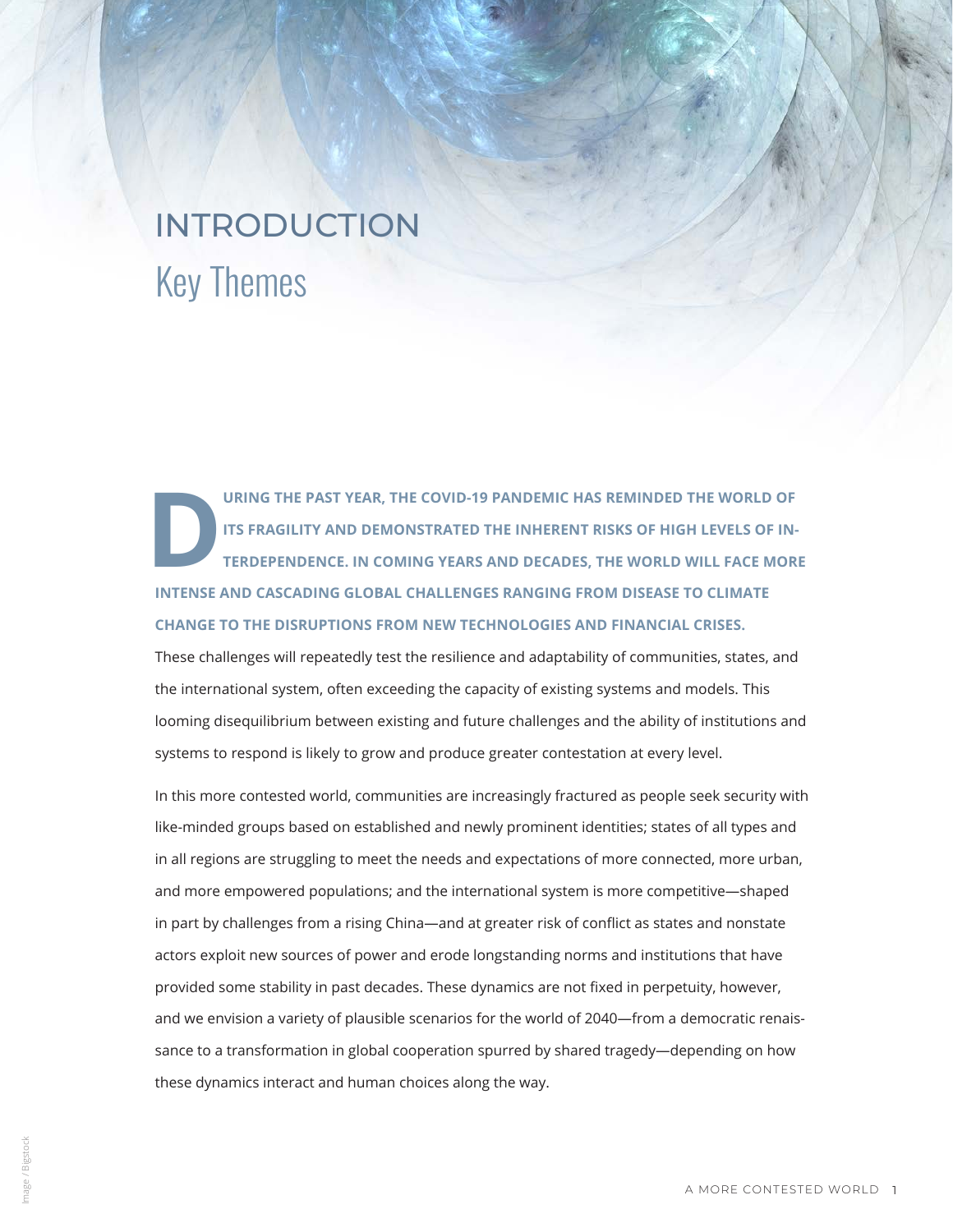# Key Themes INTRODUCTION

URING THE PAST YEAR, THE COVID-19 PANDEMIC HAS REMINDED THE WORLD OF ITS FRAGILITY AND DEMONSTRATED THE INHERENT RISKS OF HIGH LEVELS OF INTERDEPENDENCE. IN COMING YEARS AND DECADES, THE WORLD WILL FACE MOR **ITS FRAGILITY AND DEMONSTRATED THE INHERENT RISKS OF HIGH LEVELS OF IN-TERDEPENDENCE. IN COMING YEARS AND DECADES, THE WORLD WILL FACE MORE INTENSE AND CASCADING GLOBAL CHALLENGES RANGING FROM DISEASE TO CLIMATE CHANGE TO THE DISRUPTIONS FROM NEW TECHNOLOGIES AND FINANCIAL CRISES.** 

These challenges will repeatedly test the resilience and adaptability of communities, states, and the international system, often exceeding the capacity of existing systems and models. This looming disequilibrium between existing and future challenges and the ability of institutions and systems to respond is likely to grow and produce greater contestation at every level.

In this more contested world, communities are increasingly fractured as people seek security with like-minded groups based on established and newly prominent identities; states of all types and in all regions are struggling to meet the needs and expectations of more connected, more urban, and more empowered populations; and the international system is more competitive—shaped in part by challenges from a rising China—and at greater risk of conflict as states and nonstate actors exploit new sources of power and erode longstanding norms and institutions that have provided some stability in past decades. These dynamics are not fixed in perpetuity, however, and we envision a variety of plausible scenarios for the world of 2040—from a democratic renaissance to a transformation in global cooperation spurred by shared tragedy—depending on how these dynamics interact and human choices along the way.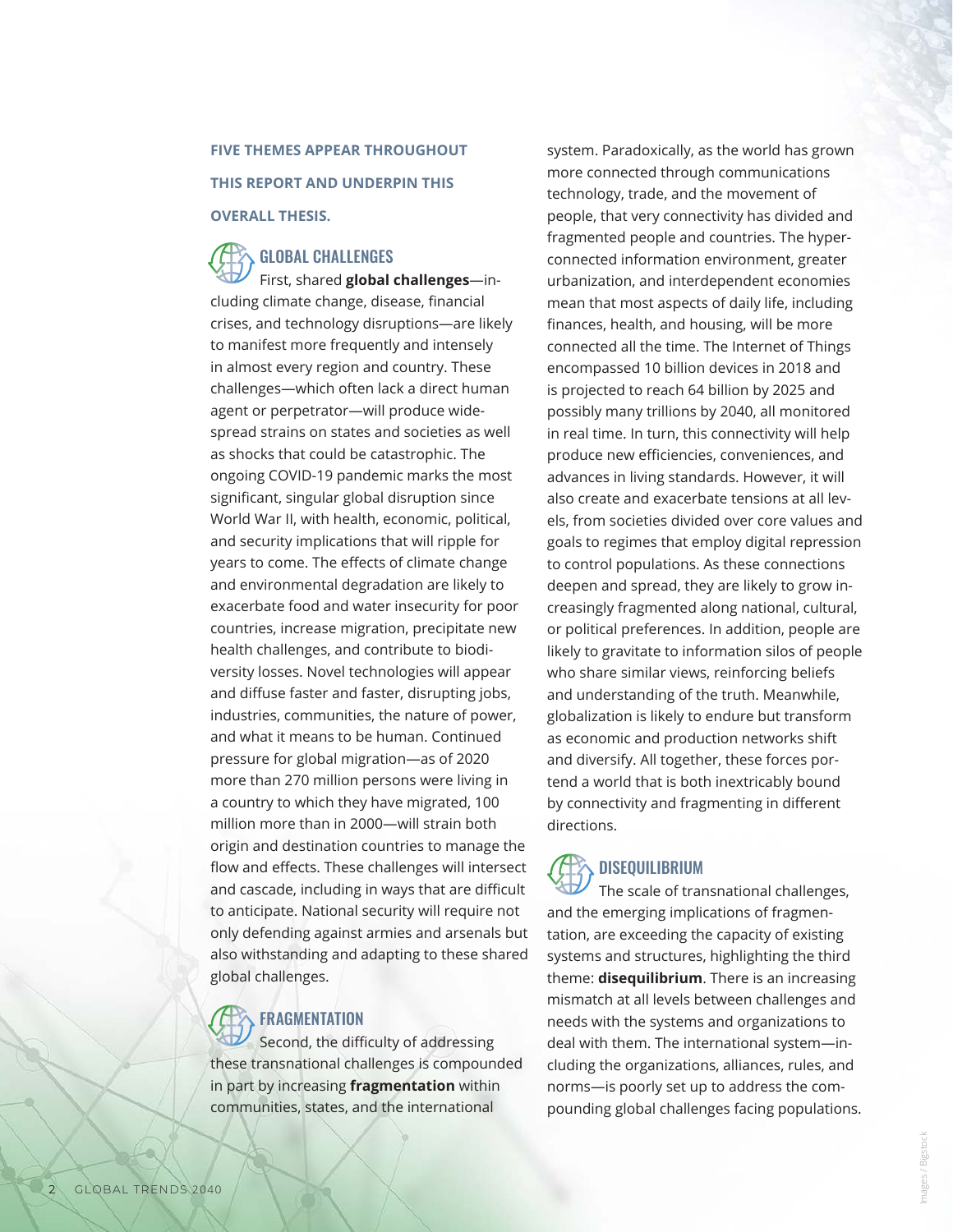#### **FIVE THEMES APPEAR THROUGHOUT THIS REPORT AND UNDERPIN THIS**

#### **OVERALL THESIS.**

### GLOBAL CHALLENGES

First, shared **global challenges**—including climate change, disease, financial crises, and technology disruptions—are likely to manifest more frequently and intensely in almost every region and country. These challenges—which often lack a direct human agent or perpetrator—will produce widespread strains on states and societies as well as shocks that could be catastrophic. The ongoing COVID-19 pandemic marks the most significant, singular global disruption since World War II, with health, economic, political, and security implications that will ripple for years to come. The effects of climate change and environmental degradation are likely to exacerbate food and water insecurity for poor countries, increase migration, precipitate new health challenges, and contribute to biodiversity losses. Novel technologies will appear and diffuse faster and faster, disrupting jobs, industries, communities, the nature of power, and what it means to be human. Continued pressure for global migration—as of 2020 more than 270 million persons were living in a country to which they have migrated, 100 million more than in 2000—will strain both origin and destination countries to manage the flow and effects. These challenges will intersect and cascade, including in ways that are difficult to anticipate. National security will require not only defending against armies and arsenals but also withstanding and adapting to these shared global challenges.

#### **FRAGMENTATION**

Second, the difficulty of addressing these transnational challenges is compounded in part by increasing **fragmentation** within communities, states, and the international

system. Paradoxically, as the world has grown more connected through communications technology, trade, and the movement of people, that very connectivity has divided and fragmented people and countries. The hyperconnected information environment, greater urbanization, and interdependent economies mean that most aspects of daily life, including finances, health, and housing, will be more connected all the time. The Internet of Things encompassed 10 billion devices in 2018 and is projected to reach 64 billion by 2025 and possibly many trillions by 2040, all monitored in real time. In turn, this connectivity will help produce new efficiencies, conveniences, and advances in living standards. However, it will also create and exacerbate tensions at all levels, from societies divided over core values and goals to regimes that employ digital repression to control populations. As these connections deepen and spread, they are likely to grow increasingly fragmented along national, cultural, or political preferences. In addition, people are likely to gravitate to information silos of people who share similar views, reinforcing beliefs and understanding of the truth. Meanwhile, globalization is likely to endure but transform as economic and production networks shift and diversify. All together, these forces portend a world that is both inextricably bound by connectivity and fragmenting in different directions.

# **DISEQUILIBRIUM**

The scale of transnational challenges, and the emerging implications of fragmentation, are exceeding the capacity of existing systems and structures, highlighting the third theme: **disequilibrium**. There is an increasing mismatch at all levels between challenges and needs with the systems and organizations to deal with them. The international system—including the organizations, alliances, rules, and norms—is poorly set up to address the compounding global challenges facing populations.